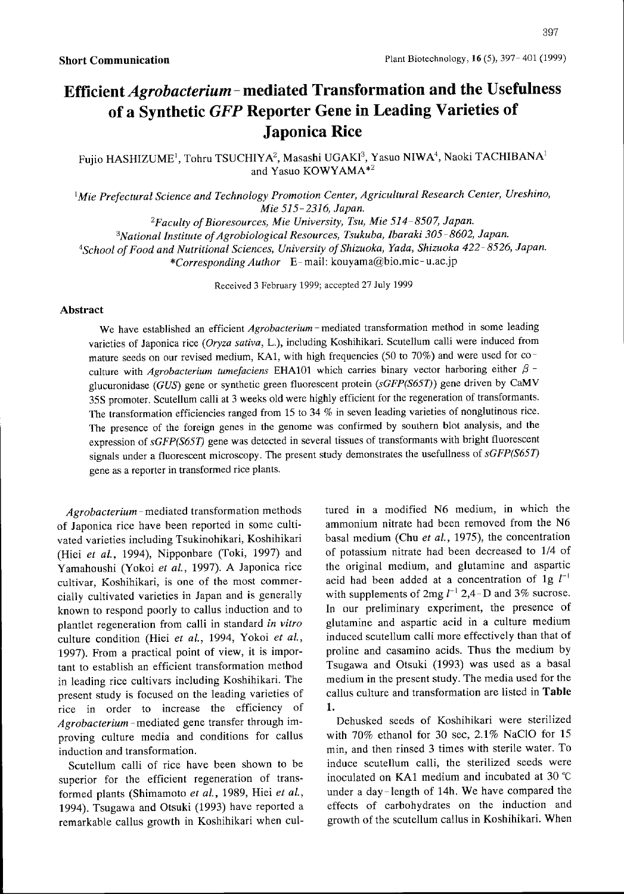## Efficient *Agrobacterium* – mediated Transformation and the Usefulness of a Synthetic GFP Reporter Gene in Leading Varieties of Japonica Rice

Fujio HASHIZUME<sup>1</sup>, Tohru TSUCHIYA<sup>2</sup>, Masashi UGAKI<sup>3</sup>, Yasuo NIWA<sup>4</sup>, Naoki TACHIBANA<sup>1</sup> and Yasuo KOWYAMA\*2

 $\mathbb{I}$ Mie Prefectural Science and Technology Promotion Center, Agricultural Research Center, Ureshino, Mie 515-2316, Japan.

 ${}^{2}$ Faculty of Bioresources, Mie University, Tsu, Mie 514-8507, Japan. <sup>3</sup>National Institute of Agrobiological Resources, Tsukuba, Ibaraki 305-8602, Japan. <sup>4</sup>School of Food and Nutritional Sciences, University of Shizuoka, Yada, Shizuoka 422-8526, Japan. \*CorrespondingAuthor E-mail: kouyama@bio.mie- u.ac.jp

Received 3February 1999; accepted <sup>27</sup> July <sup>1999</sup>

## Abstract

We have established an efficient *Agrobacterium* - mediated transformation method in some leading varieties of Japonica rice (Oryza sativa, L.), including Koshihikari. Scutellum calli were induced from mature seeds on our revised medium, KA1, with high frequencies (50 to 70%) and were used for coculture with Agrobacterium tumefaciens EHA101 which carries binary vector harboring either  $\beta$  glucuronidase (GUS) gene or synthetic green fluorescent protein (sGFP(S65T)) gene driven by CaMV 35S promoter. Scutellum calli at 3weeks old were highly efficient for the regeneration of transformants. The transformation efficiencies ranged from 15 to 34  $%$  in seven leading varieties of nonglutinous rice. The presence of the foreign genes in the genome was confirmed by southern blot analysis, and the expression of sGFP(S65T) gene was detected in several tissues of transformants with bright fluorescent signals under a fluorescent microscopy. The present study demonstrates the usefullness of  $sGFP(S65T)$ gene as a reporter in transformed rice plants.

Agrobacterium - mediated transformation methods of Japonica rice have been reported in some cultivated varieties including Tsukinohikari, Koshihikari (Hiei et al., 1994), Nipponbare (Toki, 1997) and Yamahoushi (Yokoi et al., 1997). A Japonica rice cultivar, Koshihikari, is one of the most commercially cultivated varieties in Japan and is generally known to respond poorly to callus induction and to plantlet regeneration from calli in standard in vitro culture condition (Hiei et al., 1994, Yokoi et al., 1997). From a practical point of view, it is important to establish an efficient transformation method in leading rice cultivars including Koshihikari. The present study is focused on the leading varieties of rice in order to increase the efficiency of Agrobacterium - mediated gene transfer through improving culture media and conditions for callus induction and transformation.

Scutellum calli of rice have been shown to be superior for the efficient regeneration of transformed plants (Shimamoto et al., 1989, Hiei et al., 1994). Tsugawa and Otsuki (1993) have reported a remarkable callus growth in Koshihikari when cul-

tured in a modified N6 medium, in which the ammonium nitrate had been removed from the N6 basal medium (Chu et al., 1975), the concentration of potassium nitrate had been decreased to 1/4 of the original medium, and glutamine and aspartic acid had been added at a concentration of  $1g l^{-1}$ with supplements of 2mg  $l^{-1}$  2,4-D and 3% sucrose. In our preliminary experiment, the presence of glutamine and aspartic acid in a culture medium induced scutellum calli more effectively than that of proline and casamino acids. Thus the medium by Tsugawa and Otsuki (1993) was used as a basal medium in the present study. The media used for the callus culture and transformation are listed in Table 1.

Dehusked seeds of Koshihikari were sterilized with 70% ethanol for 30 sec, 2.1% NaCIO for <sup>15</sup> min, and then rinsed 3 times with sterile water. To induce scutellum calli, the sterilized seeds were inoculated on KAI medium and incubated at 30 'C under a day-length of 14h. We have compared the effects of carbohydrates on the induction and growth of the scutellum callus in Koshihikari. When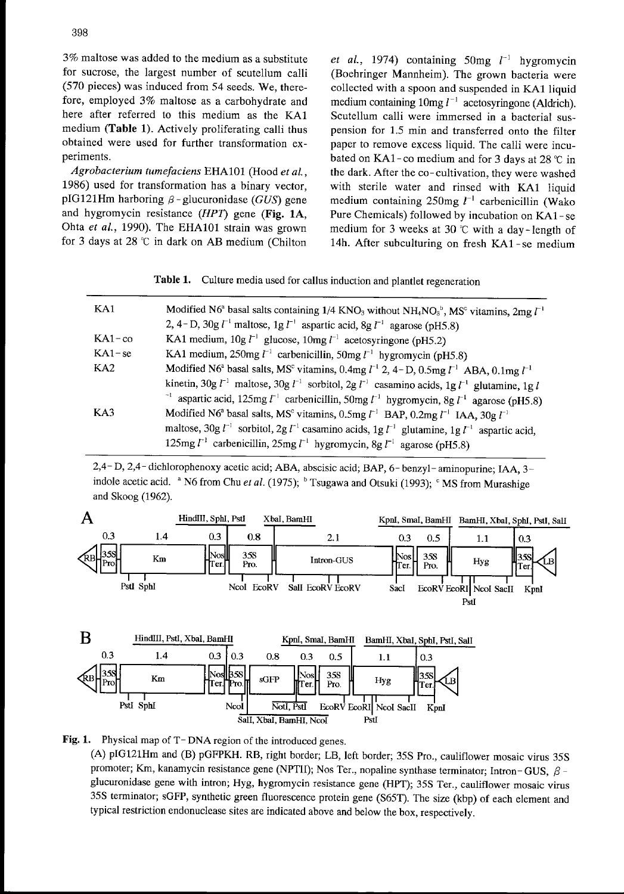3% maltose was added to the medium as <sup>a</sup> substitute for sucrose, the largest number of scutellum calli (570 pieces) was induced from 54 seeds. We, therefore, employed 3% maltose as <sup>a</sup> carbohydrate and here after referred to this medium as the KA1 medium (Table 1). Actively proliferating calli thus obtained were used for further transformation experiments.

Agrobacterium tumefaciens EHAIOI (Hood et al. , 1986) used for transformation has a binary vector, pIG121Hm harboring  $\beta$  - glucuronidase (GUS) gene and hygromycin resistance (HPT) gene (Fig. IA, Ohta et al., 1990). The EHA101 strain was grown for 3 days at  $28 \text{ °C}$  in dark on AB medium (Chilton

et al., 1974) containing 50mg  $l^{-1}$  hygromycin (Boehringer Mannheim). The grown bacteria were collected with a spoon and suspended in KAI Iiquid medium containing  $10mg l^{-1}$  acetosyringone (Aldrich). Scutellum calli were immersed in a bacterial suspension for 1.5 min and transferred onto the filter paper to remove excess liquid. The calli were incubated on KA1-co medium and for 3 days at 28  $\degree$ C in the dark. After the co- cultivation, they were washed with sterile water and rinsed with KA1 liquid medium containing  $250$ mg  $l^{-1}$  carbenicillin (Wako Pure Chemicals) followed by incubation on KAI - se medium for 3 weeks at 30  $\degree$ C with a day-length of 14h. After subculturing on fresh KAI -se medium

Table 1. Culture media used for callus induction and plantlet regeneration

| KA1          | Modified N6 <sup>a</sup> basal salts containing 1/4 KNO <sub>3</sub> without NH <sub>4</sub> NO <sub>3</sub> <sup>b</sup> , MS <sup>c</sup> vitamins, 2mg $l^{-1}$ |
|--------------|--------------------------------------------------------------------------------------------------------------------------------------------------------------------|
|              | 2, 4-D, 30g $l^{-1}$ maltose, 1g $l^{-1}$ aspartic acid, 8g $l^{-1}$ agarose (pH5.8)                                                                               |
| $KA1$ – $co$ | KA1 medium, $10g l^{-1}$ glucose, $10mg l^{-1}$ acetosyringone (pH5.2)                                                                                             |
| $KA1 - se$   | KA1 medium, 250mg $l^{-1}$ carbenicillin, 50mg $l^{-1}$ hygromycin (pH5.8)                                                                                         |
| KA2          | Modified N6 <sup>a</sup> basal salts, MS <sup>c</sup> vitamins, 0.4mg $l^{-1}$ 2, 4-D, 0.5mg $l^{-1}$ ABA, 0.1mg $l^{-1}$                                          |
|              | kinetin, 30g $l^{-1}$ maltose, 30g $l^{-1}$ sorbitol, 2g $l^{-1}$ casamino acids, 1g $l^{-1}$ glutamine, 1g l                                                      |
|              | <sup>-1</sup> aspartic acid, 125mg $l^{-1}$ carbenicillin, 50mg $l^{-1}$ hygromycin, 8g $l^{-1}$ agarose (pH5.8)                                                   |
| KA3          | Modified N6 <sup>a</sup> basal salts, MS <sup>c</sup> vitamins, 0.5mg $l^{-1}$ BAP, 0.2mg $l^{-1}$ IAA, 30g $l^{-1}$                                               |
|              | maltose, 30g $\ell^{-1}$ sorbitol, 2g $\ell^{-1}$ casamino acids, 1g $\ell^{-1}$ glutamine, 1g $\ell^{-1}$ aspartic acid,                                          |
|              | 125mg $\Gamma^1$ carbenicillin, 25mg $\Gamma^1$ hygromycin, 8g $\Gamma^1$ agarose (pH5.8)                                                                          |

2,4- D, 2,4- dichlorophenoxy acetic acid; ABA, abscisic acid; BAP, 6- benzyl- aminopurine; IAA, 3indole acetic acid. <sup>a</sup> N6 from Chu et al. (1975); <sup>b</sup> Tsugawa and Otsuki (1993); <sup>c</sup> MS from Murashige and Skoog (1962).





Fig. 1. Physical map of T-DNA region of the introduced genes.

(A) plG121Hm and (B) pGFPKH. RB, right border; LB, Ieft border; 35S Pro., cauliflower mosaic virus 35S promoter; Km, kanamycin resistance gene (NPTII); Nos Ter., nopaline synthase terminator; Intron-GUS,  $\beta$ glucuronidase gene with intron; Hyg, hygromycin resistance gene (HPT); 35S Ter., cauliflower mosaic virus 35S terminator; sGFP, synthetic green fluorescence protein gene (S65T). The size (kbp) of each element and typical restriction endonuclease sites are indicated above and below the box, respectively.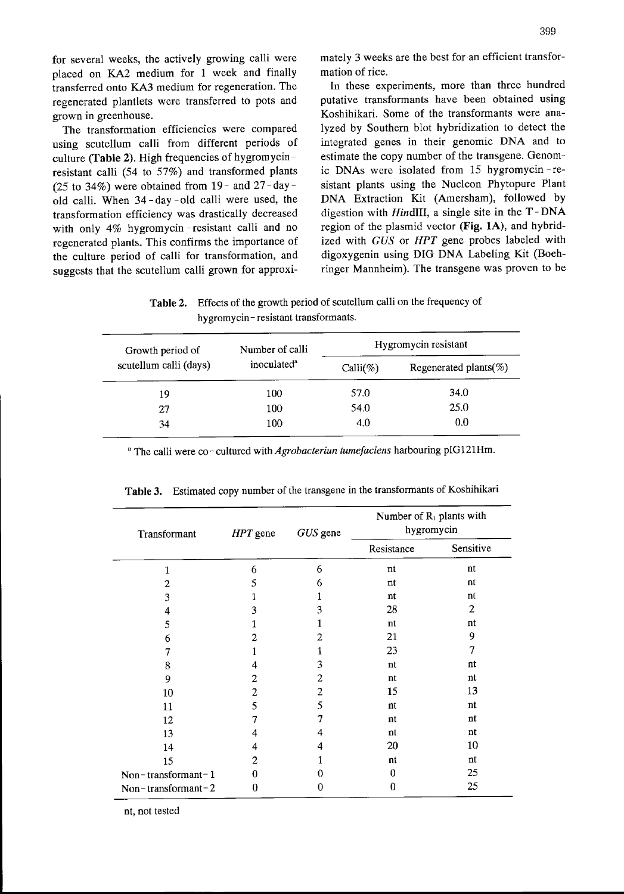placed on KA2 medium for 1 week and finally mation of rice. transferred onto KA3 medium for regeneration. The In these experiments, more than three hundred

(25 to 34%) were obtained from 19- and 27-day transformation efficiency was drastically decreased suggests that the scutellum calli grown for approxi-<br>ringer Mannheim). The transgene was proven to be

for several weeks, the actively growing calli were mately 3weeks are the best for an efficient transfor-

regenerated plantlets were transferred to pots and putative transformants have been obtained using grown in greenhouse. Koshihikari. Some of the transformants were ana-The transformation efficiencies were compared lyzed by Southern blot hybridization to detect the using scutellum calli from different periods of integrated genes in their genomic DNA and to culture (Table 2). High frequencies of hygromycin-<br>estimate the copy number of the transgene. Genomresistant calli (54 to 57%) and transformed plants ic DNAS Were isolated from <sup>15</sup> hygromycin -re sistant plants using the Nucleon Phytopure Plant old calli. When 34-day -old calli were used, the DNA Extraction Kit (Amersham), followed by digestion with  $Hind III$ , a single site in the  $T-DNA$ with only 4% hygromycin - resistant calli and no region of the plasmid vector (Fig. 1A), and hybridregenerated plants. This confirms the importance of ized with GUS or HPT gene probes labeled with the culture period of calli for transformation, and digoxygenin using DIG DNA Labeling Kit (Boeh-

Table 2. Effects of the growth period of scutellum calli on the frequency of hygromycin-resistant transformants.

| Growth period of       | Number of calli         | Hygromycin resistant |                            |  |
|------------------------|-------------------------|----------------------|----------------------------|--|
| scutellum calli (days) | inoculated <sup>a</sup> | Calli $(\%)$         | Regenerated plants( $\%$ ) |  |
| 19                     | 100                     | 57.0                 | 34.0                       |  |
| 27                     | 100                     | 54.0                 | 25.0                       |  |
| 34                     | 100                     | 4.0                  | 0.0                        |  |

<sup>a</sup> The calli were co-cultured with *Agrobacteriun tumefaciens* harbouring pIG121Hm.

| Transformant       | $HPT$ gene | GUS gene | Number of $R_1$ plants with<br>hygromycin |           |  |
|--------------------|------------|----------|-------------------------------------------|-----------|--|
|                    |            |          | Resistance                                | Sensitive |  |
| 1                  | 6          | 6        | nt                                        | nt        |  |
| 2                  | 5          | 6        | nt                                        | nt        |  |
| 3                  | 1          | 1        | nt                                        | nt        |  |
| 4                  | 3          | 3        | 28                                        | 2         |  |
| 5                  |            |          | nt                                        | nt        |  |
| 6                  | 2          | 2        | 21                                        | 9         |  |
| 7                  |            | 1        | 23                                        | 7         |  |
| 8                  | 4          | 3        | nt                                        | nt        |  |
| 9                  | 2          | 2        | nt                                        | nt        |  |
| 10                 | 2          | 2        | 15                                        | 13        |  |
| 11                 | 5          | 5        | nt                                        | nt        |  |
| 12                 | 7          | 7        | nt                                        | nt        |  |
| 13                 | 4          | 4        | nt                                        | nt        |  |
| 14                 | 4          | 4        | 20                                        | 10        |  |
| 15                 | 2          |          | nt                                        | nt        |  |
| Non-transformant-1 | 0          | 0        | 0                                         | 25        |  |
| Non-transformant-2 | 0          | 0        | $\bf{0}$                                  | 25        |  |

Table 3. Estimated copy number of the transgene in the transformants of Koshihikari

nt, not tested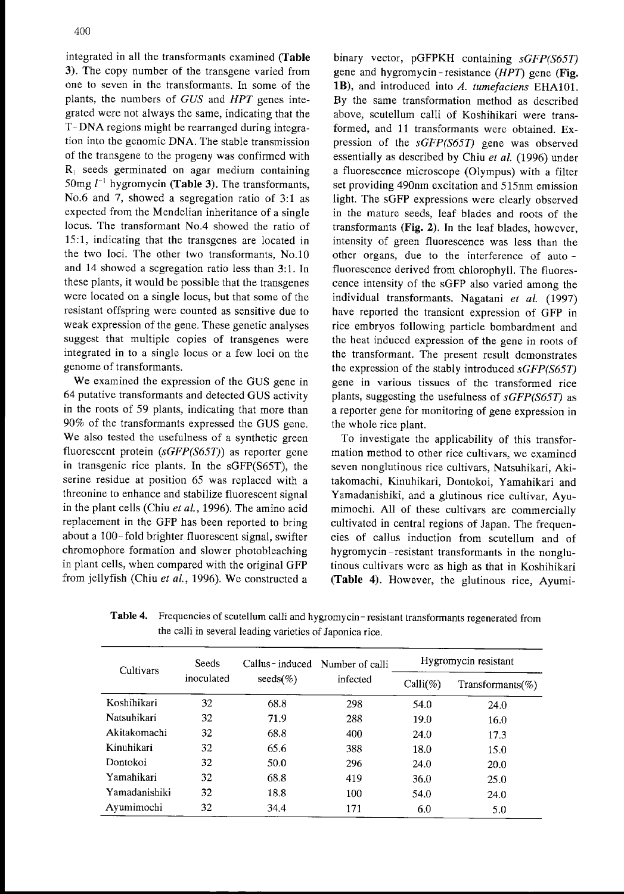integrated in all the transformants examined (Table 3). The copy number of the transgene varied from one to seven in the transformants. In some of the plants, the numbers of GUS and HPT genes integrated were not always the same, indicating that the T- DNA regions might be rearranged during integration into the genomic DNA. The stable transmission of the transgene to the progeny was confirmed with  $R_1$  seeds germinated on agar medium containing 50mg  $l^{-1}$  hygromycin (Table 3). The transformants, No.6 and 7, showed a segregation ratio of 3:1 as expected from the Mendelian inheritance of a single locus. The transformant N0.4 showed the ratio of 15:1, indicating that the transgenes are located in the two loci. The other two transformants, N0.10 and 14 showed a segregation ratio less than 3:1. In these plants, it would be possible that the transgenes were located on a single locus, but that some of the resistant offspring were counted as sensitive due to weak expression of the gene. These genetic analyses suggest that multiple copies of transgenes were integrated in to a single locus or a few loci on the genome of transformants.

We examined the expression of the GUS gene in 64 putative transfomants and detected GUS activity in the roots of 59 plants, indicating that more than 90% of the transformants expressed the GUS gene. We also tested the usefulness of a synthetic green fluorescent protein (sGFP(S65T)) as reporter gene in transgenic rice plants. In the sGFP(S65T), the serine residue at position 65 was replaced with a threonine to enhance and stabilize fluorescent signal in the plant cells (Chiu et al., 1996). The amino acid replacement in the GFP has been reported to bring about a 100- fold brighter fluorescent signal, swifter chromophore formation and slower photobleaching in plant cells, when compared with the original GFP from jellyfish (Chiu et al., 1996). We constructed a

binary vector, pGFPKH containing sGFP(S65T) gene and hygromycin-resistance  $(HPT)$  gene (Fig. 1B), and introduced into A. tumefaciens EHA101. By the same transformation method as described above, scutellum calli of Koshihikari were transformed, and <sup>11</sup> transformants were obtained. Expression of the sGFP(S65T) gene was observed essentially as described by Chiu et al. (1996) under a fluorescence microscope (Olympus) with a filter set providing 490nm excitation and 515nm emission light. The SGFP expressions were clearly observed in the mature seeds, Ieaf blades and roots of the transformants (Fig. 2). In the leaf blades, however, intensity of green fluorescence was less than the other organs, due to the interference of auto fluorescence derived from chlorophyll. The fluorescence intensity of the SGFP also varied among the individual transformants. Nagatani et al. (1997) have reported the transient expression of GFP in rice embryos following particle bombardment and the heat induced expression of the gene in roots of the transformant. The present result demonstrates the expression of the stably introduced  $sGFP(565T)$ gene in various tissues of the transformed rice plants, suggesting the usefulness of sGFP(S65T) as a reporter gene for monitoring of gene expression in the whole rice plant.

To investigate the applicability of this transformation method to other rice cultivars, we examined seven nonglutinous rice cultivars, Natsuhikari, Akitakomachi, Kinuhikari, Dontokoi, Yamahikari and Yamadanishiki, and a glutinous rice cultivar. Avumimochi. All of these cultivars are commercially cultivated in central regions of Japan. The frequencies of callus induction from scutellum and of hygromycin -resistant transformants in the nonglutinous cultivars were as high as that in Koshihikari (Table 4). However, the glutinous rice, Ayumi-

| Cultivars     | <b>Seeds</b><br>inoculated | $\text{seeds}(\%)$ | Callus-induced Number of calli<br>infected | Hygromycin resistant |                      |  |
|---------------|----------------------------|--------------------|--------------------------------------------|----------------------|----------------------|--|
|               |                            |                    |                                            | $Calli(\%)$          | Transformants $(\%)$ |  |
| Koshihikari   | 32                         | 68.8               | 298                                        | 54.0                 | 24.0                 |  |
| Natsuhikari   | 32                         | 71.9               | 288                                        | 19.0                 | 16.0                 |  |
| Akitakomachi  | 32                         | 68.8               | 400                                        | 24.0                 | 17.3                 |  |
| Kinuhikari    | 32                         | 65.6               | 388                                        | 18.0                 | 15.0                 |  |
| Dontokoi      | 32                         | 50.0               | 296                                        | 24.0                 | 20.0                 |  |
| Yamahikari    | 32                         | 68.8               | 419                                        | 36.0                 | 25.0                 |  |
| Yamadanishiki | 32                         | 18.8               | 100                                        | 54.0                 | 24.0                 |  |
| Ayumimochi    | 32                         | 34.4               | 171                                        | 6.0                  | 5.0                  |  |

Table 4. Frequencies of scutellum calli and hygromycin-resistant transformants regenerated from the calli in several leading varieties of Japonica rice.